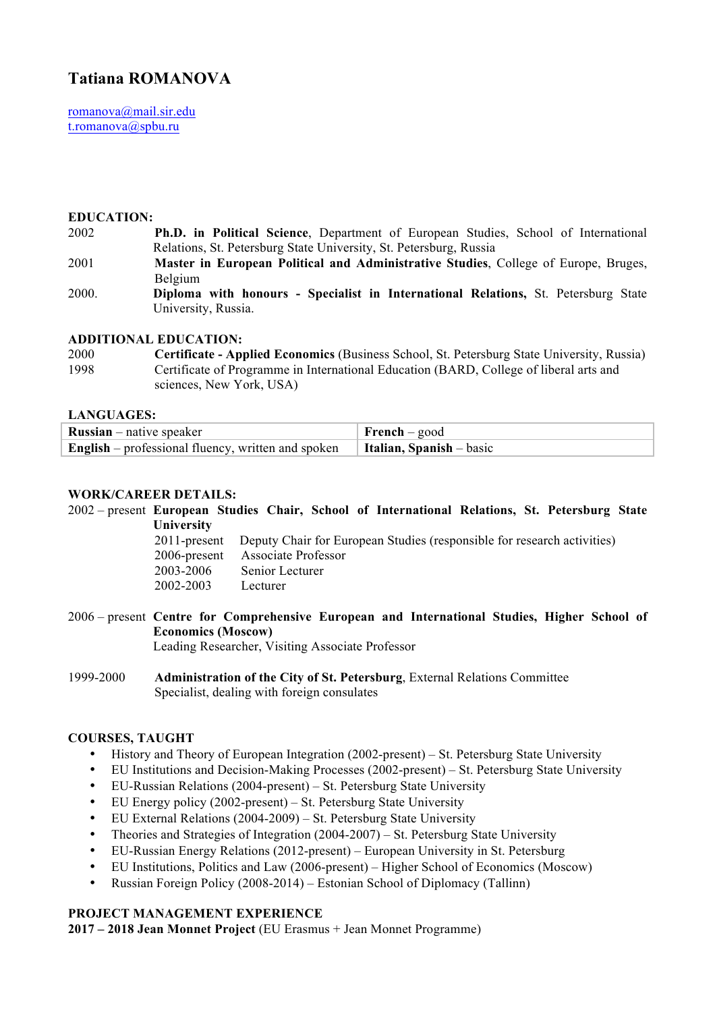# **Tatiana ROMANOVA**

romanova@mail.sir.edu t.romanova@spbu.ru

#### **EDUCATION:**

- 2002 **Ph.D. in Political Science**, Department of European Studies, School of International Relations, St. Petersburg State University, St. Petersburg, Russia
- 2001 **Master in European Political and Administrative Studies**, College of Europe, Bruges, Belgium
- 2000. **Diploma with honours - Specialist in International Relations,** St. Petersburg State University, Russia.

#### **ADDITIONAL EDUCATION:**

2000 **Certificate - Applied Economics** (Business School, St. Petersburg State University, Russia) 1998 Certificate of Programme in International Education (BARD, College of liberal arts and sciences, New York, USA)

#### **LANGUAGES:**

| <b>Russian</b> – native speaker                                                                   | French – good |
|---------------------------------------------------------------------------------------------------|---------------|
| <b>English</b> – professional fluency, written and spoken $\vert$ <b>Italian, Spanish</b> – basic |               |

## **WORK/CAREER DETAILS:**

- 2002 present **European Studies Chair, School of International Relations, St. Petersburg State University**  2011-present Deputy Chair for European Studies (responsible for research activities) 2006-present Associate Professor 2003-2006 Senior Lecturer 2002-2003 Lecturer 2006 – present **Centre for Comprehensive European and International Studies, Higher School of**
- **Economics (Moscow)** Leading Researcher, Visiting Associate Professor
- 1999-2000 **Administration of the City of St. Petersburg**, External Relations Committee Specialist, dealing with foreign consulates

#### **COURSES, TAUGHT**

- History and Theory of European Integration (2002-present) St. Petersburg State University
- EU Institutions and Decision-Making Processes (2002-present) St. Petersburg State University
- EU-Russian Relations (2004-present) St. Petersburg State University
- EU Energy policy (2002-present) St. Petersburg State University
- EU External Relations (2004-2009) St. Petersburg State University
- Theories and Strategies of Integration (2004-2007) St. Petersburg State University
- EU-Russian Energy Relations (2012-present) European University in St. Petersburg
- EU Institutions, Politics and Law (2006-present) Higher School of Economics (Moscow)
- Russian Foreign Policy (2008-2014) Estonian School of Diplomacy (Tallinn)

# **PROJECT MANAGEMENT EXPERIENCE**

**2017 – 2018 Jean Monnet Project** (EU Erasmus + Jean Monnet Programme)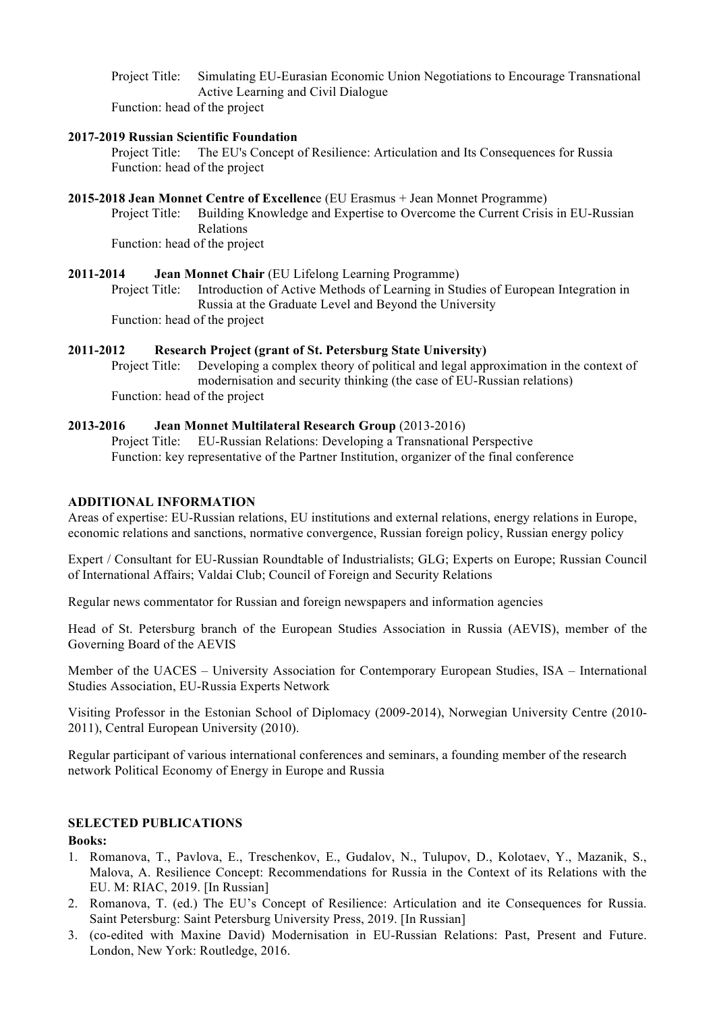Project Title: Simulating EU-Eurasian Economic Union Negotiations to Encourage Transnational Active Learning and Civil Dialogue

Function: head of the project

## **2017-2019 Russian Scientific Foundation**

Project Title: The EU's Concept of Resilience: Articulation and Its Consequences for Russia Function: head of the project

#### **2015-2018 Jean Monnet Centre of Excellenc**e (EU Erasmus + Jean Monnet Programme)

Project Title: Building Knowledge and Expertise to Overcome the Current Crisis in EU-Russian Relations Function: head of the project

**2011-2014 Jean Monnet Chair** (EU Lifelong Learning Programme) Project Title: Introduction of Active Methods of Learning in Studies of European Integration in Russia at the Graduate Level and Beyond the University Function: head of the project

## **2011-2012 Research Project (grant of St. Petersburg State University)**

Project Title: Developing a complex theory of political and legal approximation in the context of modernisation and security thinking (the case of EU-Russian relations) Function: head of the project

## **2013-2016 Jean Monnet Multilateral Research Group** (2013-2016)

Project Title: EU-Russian Relations: Developing a Transnational Perspective Function: key representative of the Partner Institution, organizer of the final conference

## **ADDITIONAL INFORMATION**

Areas of expertise: EU-Russian relations, EU institutions and external relations, energy relations in Europe, economic relations and sanctions, normative convergence, Russian foreign policy, Russian energy policy

Expert / Consultant for EU-Russian Roundtable of Industrialists; GLG; Experts on Europe; Russian Council of International Affairs; Valdai Club; Council of Foreign and Security Relations

Regular news commentator for Russian and foreign newspapers and information agencies

Head of St. Petersburg branch of the European Studies Association in Russia (AEVIS), member of the Governing Board of the AEVIS

Member of the UACES – University Association for Contemporary European Studies, ISA – International Studies Association, EU-Russia Experts Network

Visiting Professor in the Estonian School of Diplomacy (2009-2014), Norwegian University Centre (2010- 2011), Central European University (2010).

Regular participant of various international conferences and seminars, a founding member of the research network Political Economy of Energy in Europe and Russia

# **SELECTED PUBLICATIONS**

**Books:** 

- 1. Romanova, T., Pavlova, E., Treschenkov, E., Gudalov, N., Tulupov, D., Kolotaev, Y., Mazanik, S., Malova, A. Resilience Concept: Recommendations for Russia in the Context of its Relations with the EU. M: RIAC, 2019. [In Russian]
- 2. Romanova, T. (ed.) The EU's Concept of Resilience: Articulation and ite Consequences for Russia. Saint Petersburg: Saint Petersburg University Press, 2019. [In Russian]
- 3. (co-edited with Maxine David) Modernisation in EU-Russian Relations: Past, Present and Future. London, New York: Routledge, 2016.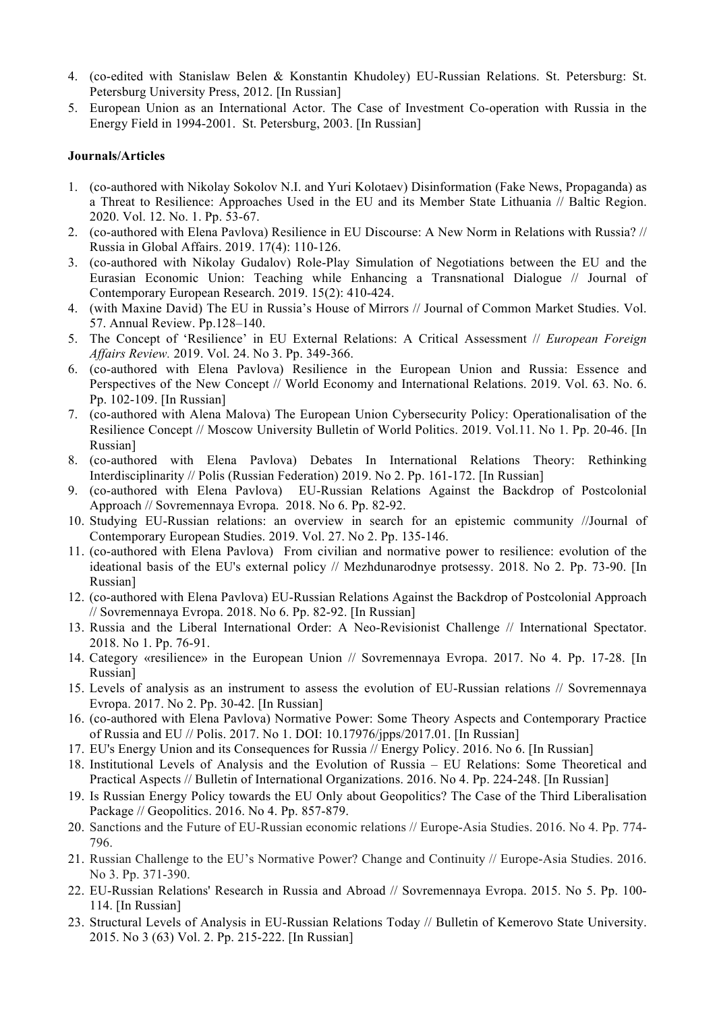- 4. (co-edited with Stanislaw Belen & Konstantin Khudoley) EU-Russian Relations. St. Petersburg: St. Petersburg University Press, 2012. [In Russian]
- 5. European Union as an International Actor. The Case of Investment Co-operation with Russia in the Energy Field in 1994-2001. St. Petersburg, 2003. [In Russian]

#### **Journals/Articles**

- 1. (co-authored with Nikolay Sokolov N.I. and Yuri Kolotaev) Disinformation (Fake News, Propaganda) as a Threat to Resilience: Approaches Used in the EU and its Member State Lithuania // Baltic Region. 2020. Vol. 12. No. 1. Pp. 53-67.
- 2. (co-authored with Elena Pavlova) Resilience in EU Discourse: A New Norm in Relations with Russia? // Russia in Global Affairs. 2019. 17(4): 110-126.
- 3. (co-authored with Nikolay Gudalov) Role-Play Simulation of Negotiations between the EU and the Eurasian Economic Union: Teaching while Enhancing a Transnational Dialogue // Journal of Contemporary European Research. 2019. 15(2): 410-424.
- 4. (with Maxine David) The EU in Russia's House of Mirrors // Journal of Common Market Studies. Vol. 57. Annual Review. Pp.128–140.
- 5. The Concept of 'Resilience' in EU External Relations: A Critical Assessment // *European Foreign Affairs Review.* 2019. Vol. 24. No 3. Pp. 349-366.
- 6. (co-authored with Elena Pavlova) Resilience in the European Union and Russia: Essence and Perspectives of the New Concept // World Economy and International Relations. 2019. Vol. 63. No. 6. Pp. 102-109. [In Russian]
- 7. (co-authored with Alena Malova) The European Union Cybersecurity Policy: Operationalisation of the Resilience Concept // Moscow University Bulletin of World Politics. 2019. Vol.11. No 1. Pp. 20-46. [In Russian]
- 8. (co-authored with Elena Pavlova) Debates In International Relations Theory: Rethinking Interdisciplinarity // Polis (Russian Federation) 2019. No 2. Pp. 161-172. [In Russian]
- 9. (co-authored with Elena Pavlova) EU-Russian Relations Against the Backdrop of Postcolonial Approach // Sovremennaya Evropa. 2018. No 6. Pp. 82-92.
- 10. Studying EU-Russian relations: an overview in search for an epistemic community //Journal of Contemporary European Studies. 2019. Vol. 27. No 2. Pp. 135-146.
- 11. (co-authored with Elena Pavlova) From civilian and normative power to resilience: evolution of the ideational basis of the EU's external policy // Mezhdunarodnye protsessy. 2018. No 2. Pp. 73-90. [In Russian]
- 12. (co-authored with Elena Pavlova) EU-Russian Relations Against the Backdrop of Postcolonial Approach // Sovremennaya Evropa. 2018. No 6. Pp. 82-92. [In Russian]
- 13. Russia and the Liberal International Order: A Neo-Revisionist Challenge // International Spectator. 2018. No 1. Pp. 76-91.
- 14. Category «resilience» in the European Union // Sovremennaya Evropa. 2017. No 4. Pp. 17-28. [In Russian]
- 15. Levels of analysis as an instrument to assess the evolution of EU-Russian relations // Sovremennaya Evropa. 2017. No 2. Pp. 30-42. [In Russian]
- 16. (co-authored with Elena Pavlova) Normative Power: Some Theory Aspects and Contemporary Practice of Russia and EU // Polis. 2017. No 1. DOI: 10.17976/jpps/2017.01. [In Russian]
- 17. EU's Energy Union and its Consequences for Russia // Energy Policy. 2016. No 6. [In Russian]
- 18. Institutional Levels of Analysis and the Evolution of Russia EU Relations: Some Theoretical and Practical Aspects // Bulletin of International Organizations. 2016. No 4. Pp. 224-248. [In Russian]
- 19. Is Russian Energy Policy towards the EU Only about Geopolitics? The Case of the Third Liberalisation Package // Geopolitics. 2016. No 4. Pp. 857-879.
- 20. Sanctions and the Future of EU-Russian economic relations // Europe-Asia Studies. 2016. No 4. Pp. 774- 796.
- 21. Russian Challenge to the EU's Normative Power? Change and Continuity // Europe-Asia Studies. 2016. No 3. Pp. 371-390.
- 22. EU-Russian Relations' Research in Russia and Abroad // Sovremennaya Evropa. 2015. No 5. Pp. 100- 114. [In Russian]
- 23. Structural Levels of Analysis in EU-Russian Relations Today // Bulletin of Kemerovo State University. 2015. No 3 (63) Vol. 2. Pp. 215-222. [In Russian]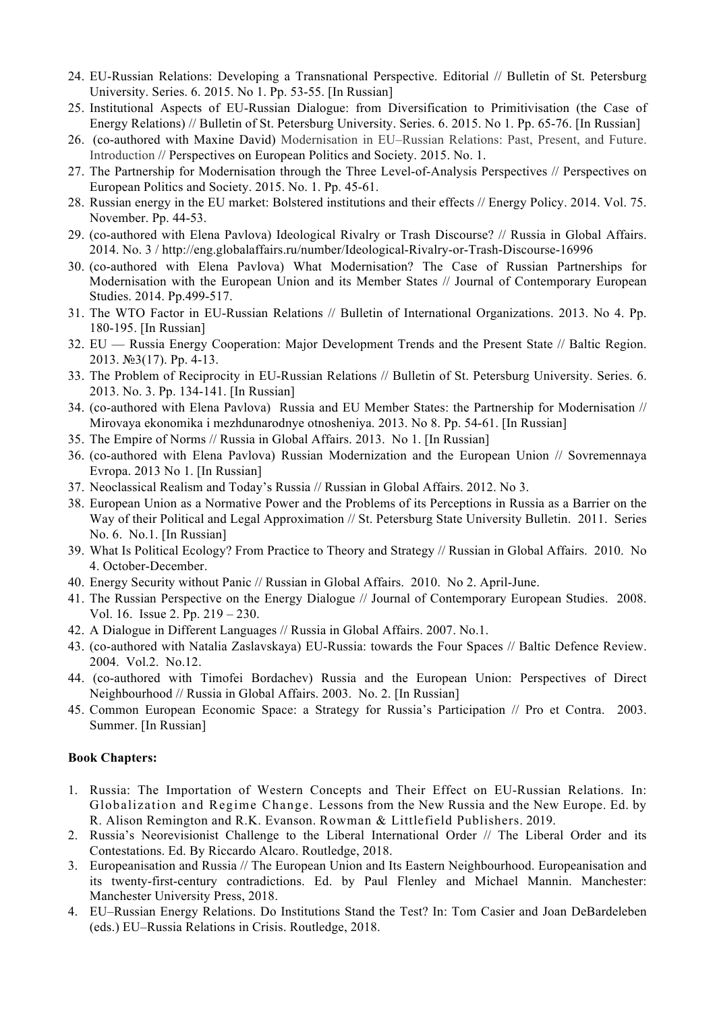- 24. EU-Russian Relations: Developing a Transnational Perspective. Editorial // Bulletin of St. Petersburg University. Series. 6. 2015. No 1. Pp. 53-55. [In Russian]
- 25. Institutional Aspects of EU-Russian Dialogue: from Diversification to Primitivisation (the Case of Energy Relations) // Bulletin of St. Petersburg University. Series. 6. 2015. No 1. Pp. 65-76. [In Russian]
- 26. (co-authored with Maxine David) Modernisation in EU–Russian Relations: Past, Present, and Future. Introduction // Perspectives on European Politics and Society. 2015. No. 1.
- 27. The Partnership for Modernisation through the Three Level-of-Analysis Perspectives // Perspectives on European Politics and Society. 2015. No. 1. Pp. 45-61.
- 28. Russian energy in the EU market: Bolstered institutions and their effects // Energy Policy. 2014. Vol. 75. November. Pp. 44-53.
- 29. (co-authored with Elena Pavlova) Ideological Rivalry or Trash Discourse? // Russia in Global Affairs. 2014. No. 3 / http://eng.globalaffairs.ru/number/Ideological-Rivalry-or-Trash-Discourse-16996
- 30. (co-authored with Elena Pavlova) What Modernisation? The Case of Russian Partnerships for Modernisation with the European Union and its Member States // Journal of Contemporary European Studies. 2014. Pp.499-517.
- 31. The WTO Factor in EU-Russian Relations // Bulletin of International Organizations. 2013. No 4. Pp. 180-195. [In Russian]
- 32. EU Russia Energy Cooperation: Major Development Trends and the Present State // Baltic Region. 2013. №3(17). Pp. 4-13.
- 33. The Problem of Reciprocity in EU-Russian Relations // Bulletin of St. Petersburg University. Series. 6. 2013. No. 3. Pp. 134-141. [In Russian]
- 34. (co-authored with Elena Pavlova) Russia and EU Member States: the Partnership for Modernisation // Mirovaya ekonomika i mezhdunarodnye otnosheniya. 2013. No 8. Pp. 54-61. [In Russian]
- 35. The Empire of Norms // Russia in Global Affairs. 2013. No 1. [In Russian]
- 36. (co-authored with Elena Pavlova) Russian Modernization and the European Union // Sovremennaya Evropa. 2013 No 1. [In Russian]
- 37. Neoclassical Realism and Today's Russia // Russian in Global Affairs. 2012. No 3.
- 38. European Union as a Normative Power and the Problems of its Perceptions in Russia as a Barrier on the Way of their Political and Legal Approximation // St. Petersburg State University Bulletin. 2011. Series No. 6. No.1. [In Russian]
- 39. What Is Political Ecology? From Practice to Theory and Strategy // Russian in Global Affairs. 2010. No 4. October-December.
- 40. Energy Security without Panic // Russian in Global Affairs. 2010. No 2. April-June.
- 41. The Russian Perspective on the Energy Dialogue // Journal of Contemporary European Studies. 2008. Vol. 16. Issue 2. Pp. 219 – 230.
- 42. A Dialogue in Different Languages // Russia in Global Affairs. 2007. No.1.
- 43. (co-authored with Natalia Zaslavskaya) EU-Russia: towards the Four Spaces // Baltic Defence Review. 2004. Vol.2. No.12.
- 44. (co-authored with Timofei Bordachev) Russia and the European Union: Perspectives of Direct Neighbourhood // Russia in Global Affairs. 2003. No. 2. [In Russian]
- 45. Common European Economic Space: a Strategy for Russia's Participation // Pro et Contra. 2003. Summer. [In Russian]

#### **Book Chapters:**

- 1. Russia: The Importation of Western Concepts and Their Effect on EU-Russian Relations. In: Globalization and Regime Change. Lessons from the New Russia and the New Europe. Ed. by R. Alison Remington and R.K. Evanson. Rowman & Littlefield Publishers. 2019.
- 2. Russia's Neorevisionist Challenge to the Liberal International Order // The Liberal Order and its Contestations. Ed. By Riccardo Alcaro. Routledge, 2018.
- 3. Europeanisation and Russia // The European Union and Its Eastern Neighbourhood. Europeanisation and its twenty-first-century contradictions. Ed. by Paul Flenley and Michael Mannin. Manchester: Manchester University Press, 2018.
- 4. EU–Russian Energy Relations. Do Institutions Stand the Test? In: Tom Casier and Joan DeBardeleben (eds.) EU–Russia Relations in Crisis. Routledge, 2018.